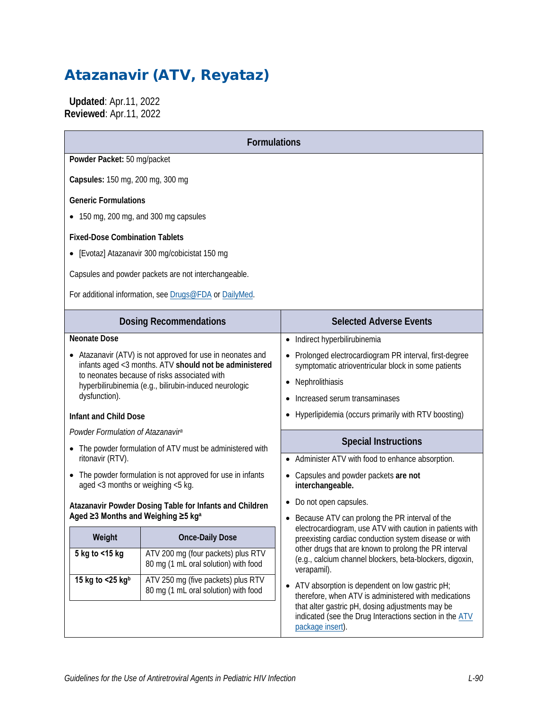# Atazanavir (ATV, Reyataz)

 **Updated**: Apr.11, 2022 **Reviewed**: Apr.11, 2022

| <b>Formulations</b>                                                                              |                                                                                                                    |                                                                                                                                                                                                                         |  |  |  |
|--------------------------------------------------------------------------------------------------|--------------------------------------------------------------------------------------------------------------------|-------------------------------------------------------------------------------------------------------------------------------------------------------------------------------------------------------------------------|--|--|--|
|                                                                                                  | Powder Packet: 50 mg/packet                                                                                        |                                                                                                                                                                                                                         |  |  |  |
| Capsules: 150 mg, 200 mg, 300 mg                                                                 |                                                                                                                    |                                                                                                                                                                                                                         |  |  |  |
| <b>Generic Formulations</b>                                                                      |                                                                                                                    |                                                                                                                                                                                                                         |  |  |  |
| • 150 mg, 200 mg, and 300 mg capsules                                                            |                                                                                                                    |                                                                                                                                                                                                                         |  |  |  |
| <b>Fixed-Dose Combination Tablets</b>                                                            |                                                                                                                    |                                                                                                                                                                                                                         |  |  |  |
|                                                                                                  | • [Evotaz] Atazanavir 300 mg/cobicistat 150 mg                                                                     |                                                                                                                                                                                                                         |  |  |  |
|                                                                                                  | Capsules and powder packets are not interchangeable.                                                               |                                                                                                                                                                                                                         |  |  |  |
| For additional information, see Drugs@FDA or DailyMed.                                           |                                                                                                                    |                                                                                                                                                                                                                         |  |  |  |
|                                                                                                  | <b>Dosing Recommendations</b>                                                                                      | <b>Selected Adverse Events</b>                                                                                                                                                                                          |  |  |  |
| <b>Neonate Dose</b>                                                                              |                                                                                                                    | Indirect hyperbilirubinemia<br>$\bullet$                                                                                                                                                                                |  |  |  |
|                                                                                                  | Atazanavir (ATV) is not approved for use in neonates and<br>infants aged <3 months. ATV should not be administered | Prolonged electrocardiogram PR interval, first-degree<br>$\bullet$<br>symptomatic atrioventricular block in some patients                                                                                               |  |  |  |
|                                                                                                  | to neonates because of risks associated with                                                                       | Nephrolithiasis                                                                                                                                                                                                         |  |  |  |
| dysfunction).                                                                                    | hyperbilirubinemia (e.g., bilirubin-induced neurologic                                                             | Increased serum transaminases<br>$\bullet$                                                                                                                                                                              |  |  |  |
| Infant and Child Dose                                                                            |                                                                                                                    | Hyperlipidemia (occurs primarily with RTV boosting)                                                                                                                                                                     |  |  |  |
| Powder Formulation of Atazanavir <sup>a</sup>                                                    |                                                                                                                    |                                                                                                                                                                                                                         |  |  |  |
| • The powder formulation of ATV must be administered with                                        |                                                                                                                    | <b>Special Instructions</b>                                                                                                                                                                                             |  |  |  |
| ritonavir (RTV).                                                                                 |                                                                                                                    | Administer ATV with food to enhance absorption.                                                                                                                                                                         |  |  |  |
| • The powder formulation is not approved for use in infants<br>aged <3 months or weighing <5 kg. |                                                                                                                    | Capsules and powder packets are not<br>interchangeable.                                                                                                                                                                 |  |  |  |
| Atazanavir Powder Dosing Table for Infants and Children                                          |                                                                                                                    | Do not open capsules.                                                                                                                                                                                                   |  |  |  |
| Aged ≥3 Months and Weighing ≥5 kg <sup>a</sup>                                                   |                                                                                                                    | Because ATV can prolong the PR interval of the<br>electrocardiogram, use ATV with caution in patients with                                                                                                              |  |  |  |
| Weight                                                                                           | <b>Once-Daily Dose</b>                                                                                             | preexisting cardiac conduction system disease or with                                                                                                                                                                   |  |  |  |
| 5 kg to <15 kg                                                                                   | ATV 200 mg (four packets) plus RTV<br>80 mg (1 mL oral solution) with food                                         | other drugs that are known to prolong the PR interval<br>(e.g., calcium channel blockers, beta-blockers, digoxin,<br>verapamil).                                                                                        |  |  |  |
| 15 kg to $<$ 25 kgb                                                                              | ATV 250 mg (five packets) plus RTV<br>80 mg (1 mL oral solution) with food                                         | • ATV absorption is dependent on low gastric pH;<br>therefore, when ATV is administered with medications<br>that alter gastric pH, dosing adjustments may be<br>indicated (see the Drug Interactions section in the ATV |  |  |  |
|                                                                                                  |                                                                                                                    | package insert).                                                                                                                                                                                                        |  |  |  |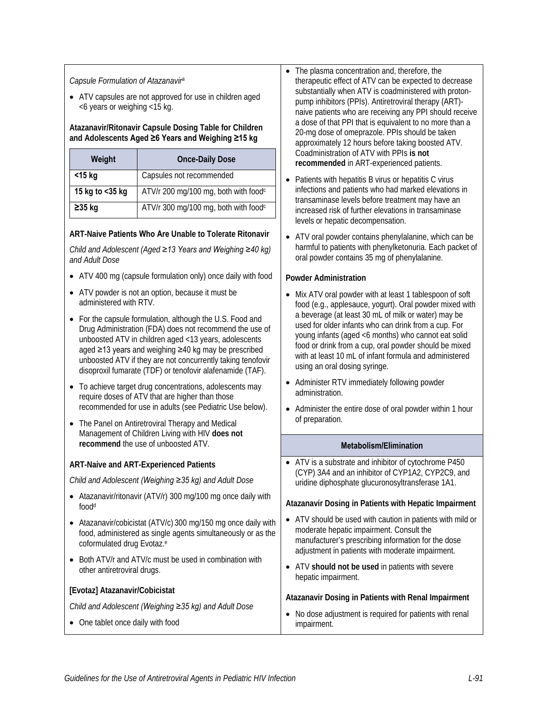#### *Capsule Formulation of Atazanavira*

• ATV capsules are not approved for use in children aged <6 years or weighing <15 kg.

#### **Atazanavir/Ritonavir Capsule Dosing Table for Children and Adolescents Aged ≥6 Years and Weighing ≥15 kg**

| Weight             | <b>Once-Daily Dose</b>                           |  |  |  |
|--------------------|--------------------------------------------------|--|--|--|
| $<$ 15 kg          | Capsules not recommended                         |  |  |  |
| 15 kg to $<$ 35 kg | ATV/r 200 mg/100 mg, both with food <sup>c</sup> |  |  |  |
| $\geq$ 35 kg       | ATV/r 300 mg/100 mg, both with food <sup>c</sup> |  |  |  |

#### **ART-Naive Patients Who Are Unable to Tolerate Ritonavir**

*Child and Adolescent (Aged ≥13 Years and Weighing ≥40 kg) and Adult Dose*

- ATV 400 mg (capsule formulation only) once daily with food
- ATV powder is not an option, because it must be administered with RTV.
- For the capsule formulation, although the U.S. Food and Drug Administration (FDA) does not recommend the use of unboosted ATV in children aged <13 years, adolescents aged ≥13 years and weighing ≥40 kg may be prescribed unboosted ATV if they are not concurrently taking tenofovir disoproxil fumarate (TDF) or tenofovir alafenamide (TAF).
- To achieve target drug concentrations, adolescents may require doses of ATV that are higher than those recommended for use in adults (see Pediatric Use below).
- The Panel on Antiretroviral Therapy and Medical Management of Children Living with HIV **does not recommend** the use of unboosted ATV.

#### **ART-Naive and ART-Experienced Patients**

*Child and Adolescent (Weighing ≥35 kg) and Adult Dose*

- Atazanavir/ritonavir (ATV/r) 300 mg/100 mg once daily with foodd
- Atazanavir/cobicistat (ATV/c) 300 mg/150 mg once daily with food, administered as single agents simultaneously or as the coformulated drug Evotaz. e
- Both ATV/r and ATV/c must be used in combination with other antiretroviral drugs.

#### **[Evotaz] Atazanavir/Cobicistat**

*Child and Adolescent (Weighing ≥35 kg) and Adult Dose*

• One tablet once daily with food

- The plasma concentration and, therefore, the therapeutic effect of ATV can be expected to decrease substantially when ATV is coadministered with protonpump inhibitors (PPIs). Antiretroviral therapy (ART) naive patients who are receiving any PPI should receive a dose of that PPI that is equivalent to no more than a 20-mg dose of omeprazole. PPIs should be taken approximately 12 hours before taking boosted ATV. Coadministration of ATV with PPIs **is not recommended** in ART-experienced patients.
- Patients with hepatitis B virus or hepatitis C virus infections and patients who had marked elevations in transaminase levels before treatment may have an increased risk of further elevations in transaminase levels or hepatic decompensation.
- ATV oral powder contains phenylalanine, which can be harmful to patients with phenylketonuria. Each packet of oral powder contains 35 mg of phenylalanine.

#### **Powder Administration**

- Mix ATV oral powder with at least 1 tablespoon of soft food (e.g., applesauce, yogurt). Oral powder mixed with a beverage (at least 30 mL of milk or water) may be used for older infants who can drink from a cup. For young infants (aged <6 months) who cannot eat solid food or drink from a cup, oral powder should be mixed with at least 10 mL of infant formula and administered using an oral dosing syringe.
- Administer RTV immediately following powder administration.
- Administer the entire dose of oral powder within 1 hour of preparation.

#### **Metabolism/Elimination**

• ATV is a substrate and inhibitor of cytochrome P450 (CYP) 3A4 and an inhibitor of CYP1A2, CYP2C9, and uridine diphosphate glucuronosyltransferase 1A1.

#### **Atazanavir Dosing in Patients with Hepatic Impairment**

- ATV should be used with caution in patients with mild or moderate hepatic impairment. Consult the manufacturer's prescribing information for the dose adjustment in patients with moderate impairment.
- ATV **should not be used** in patients with severe hepatic impairment.

#### **Atazanavir Dosing in Patients with Renal Impairment**

• No dose adjustment is required for patients with renal impairment.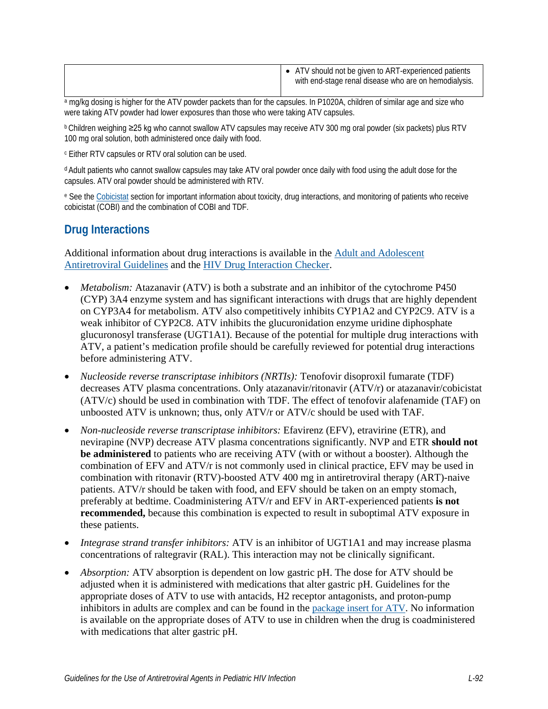|  | ATV should not be given to ART-experienced patients<br>with end-stage renal disease who are on hemodialysis. |
|--|--------------------------------------------------------------------------------------------------------------|
|  |                                                                                                              |

a mg/kg dosing is higher for the ATV powder packets than for the capsules. In P1020A, children of similar age and size who were taking ATV powder had lower exposures than those who were taking ATV capsules.

b Children weighing ≥25 kg who cannot swallow ATV capsules may receive ATV 300 mg oral powder (six packets) plus RTV 100 mg oral solution, both administered once daily with food.

<sup>c</sup> Either RTV capsules or RTV oral solution can be used.

d Adult patients who cannot swallow capsules may take ATV oral powder once daily with food using the adult dose for the capsules. ATV oral powder should be administered with RTV.

<sup>e</sup> See the [Cobicistat](https://clinicalinfo.hiv.gov/en/guidelines/pediatric-arv/cobicistat) section for important information about toxicity, drug interactions, and monitoring of patients who receive cobicistat (COBI) and the combination of COBI and TDF.

# **Drug Interactions**

Additional information about drug interactions is available in the [Adult and Adolescent](https://clinicalinfo.hiv.gov/en/guidelines/adult-and-adolescent-arv/whats-new-guidelines)  [Antiretroviral Guidelines](https://clinicalinfo.hiv.gov/en/guidelines/adult-and-adolescent-arv/whats-new-guidelines) and the [HIV Drug Interaction Checker.](http://www.hiv-druginteractions.org/)

- *Metabolism:* Atazanavir (ATV) is both a substrate and an inhibitor of the cytochrome P450 (CYP) 3A4 enzyme system and has significant interactions with drugs that are highly dependent on CYP3A4 for metabolism. ATV also competitively inhibits CYP1A2 and CYP2C9. ATV is a weak inhibitor of CYP2C8. ATV inhibits the glucuronidation enzyme uridine diphosphate glucuronosyl transferase (UGT1A1). Because of the potential for multiple drug interactions with ATV, a patient's medication profile should be carefully reviewed for potential drug interactions before administering ATV.
- *Nucleoside reverse transcriptase inhibitors (NRTIs):* Tenofovir disoproxil fumarate (TDF) decreases ATV plasma concentrations. Only atazanavir/ritonavir (ATV/r) or atazanavir/cobicistat (ATV/c) should be used in combination with TDF. The effect of tenofovir alafenamide (TAF) on unboosted ATV is unknown; thus, only ATV/r or ATV/c should be used with TAF.
- *Non-nucleoside reverse transcriptase inhibitors:* Efavirenz (EFV), etravirine (ETR), and nevirapine (NVP) decrease ATV plasma concentrations significantly. NVP and ETR **should not be administered** to patients who are receiving ATV (with or without a booster). Although the combination of EFV and ATV/r is not commonly used in clinical practice, EFV may be used in combination with ritonavir (RTV)-boosted ATV 400 mg in antiretroviral therapy (ART)-naive patients. ATV/r should be taken with food, and EFV should be taken on an empty stomach, preferably at bedtime. Coadministering ATV/r and EFV in ART-experienced patients **is not recommended,** because this combination is expected to result in suboptimal ATV exposure in these patients.
- *Integrase strand transfer inhibitors:* ATV is an inhibitor of UGT1A1 and may increase plasma concentrations of raltegravir (RAL). This interaction may not be clinically significant.
- *Absorption:* ATV absorption is dependent on low gastric pH. The dose for ATV should be adjusted when it is administered with medications that alter gastric pH. Guidelines for the appropriate doses of ATV to use with antacids, H2 receptor antagonists, and proton-pump inhibitors in adults are complex and can be found in the [package insert for ATV.](https://www.accessdata.fda.gov/drugsatfda_docs/label/2020/021567s044,206352s008lbl.pdf) No information is available on the appropriate doses of ATV to use in children when the drug is coadministered with medications that alter gastric pH.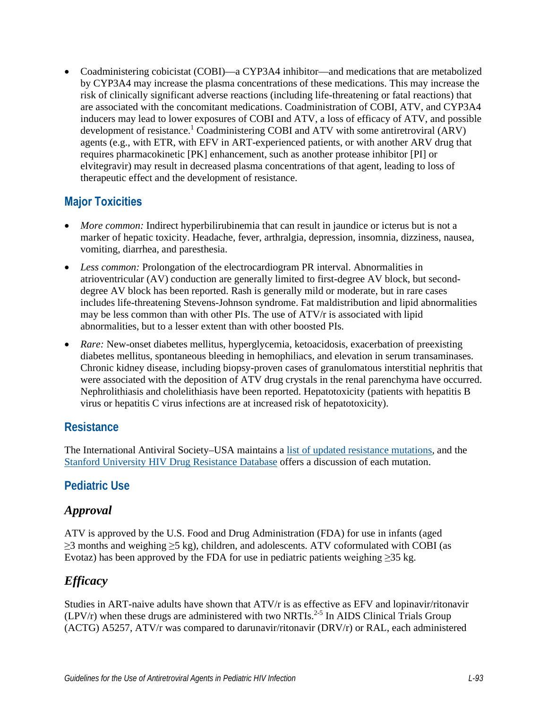• Coadministering cobicistat (COBI)—a CYP3A4 inhibitor—and medications that are metabolized by CYP3A4 may increase the plasma concentrations of these medications. This may increase the risk of clinically significant adverse reactions (including life-threatening or fatal reactions) that are associated with the concomitant medications. Coadministration of COBI, ATV, and CYP3A4 inducers may lead to lower exposures of COBI and ATV, a loss of efficacy of ATV, and possible development of resistance.<sup>[1](#page-9-0)</sup> Coadministering COBI and ATV with some antiretroviral (ARV) agents (e.g., with ETR, with EFV in ART-experienced patients, or with another ARV drug that requires pharmacokinetic [PK] enhancement, such as another protease inhibitor [PI] or elvitegravir) may result in decreased plasma concentrations of that agent, leading to loss of therapeutic effect and the development of resistance.

# **Major Toxicities**

- *More common:* Indirect hyperbilirubinemia that can result in jaundice or icterus but is not a marker of hepatic toxicity. Headache, fever, arthralgia, depression, insomnia, dizziness, nausea, vomiting, diarrhea, and paresthesia.
- *Less common:* Prolongation of the electrocardiogram PR interval. Abnormalities in atrioventricular (AV) conduction are generally limited to first-degree AV block, but seconddegree AV block has been reported. Rash is generally mild or moderate, but in rare cases includes life-threatening Stevens-Johnson syndrome. Fat maldistribution and lipid abnormalities may be less common than with other PIs. The use of ATV/r is associated with lipid abnormalities, but to a lesser extent than with other boosted PIs.
- *Rare:* New-onset diabetes mellitus, hyperglycemia, ketoacidosis, exacerbation of preexisting diabetes mellitus, spontaneous bleeding in hemophiliacs, and elevation in serum transaminases. Chronic kidney disease, including biopsy-proven cases of granulomatous interstitial nephritis that were associated with the deposition of ATV drug crystals in the renal parenchyma have occurred. Nephrolithiasis and cholelithiasis have been reported. Hepatotoxicity (patients with hepatitis B virus or hepatitis C virus infections are at increased risk of hepatotoxicity).

### **Resistance**

The International Antiviral Society–USA maintains a [list of updated resistance mutations,](https://www.iasusa.org/resources/hiv-drug-resistance-mutations/) and the [Stanford University HIV Drug Resistance Database](http://hivdb.stanford.edu/DR/) offers a discussion of each mutation.

# **Pediatric Use**

# *Approval*

ATV is approved by the U.S. Food and Drug Administration (FDA) for use in infants (aged ≥3 months and weighing ≥5 kg), children, and adolescents. ATV coformulated with COBI (as Evotaz) has been approved by the FDA for use in pediatric patients weighing  $\geq$ 35 kg.

# *Efficacy*

Studies in ART-naive adults have shown that ATV/r is as effective as EFV and lopinavir/ritonavir  $(LPV/r)$  when these drugs are administered with two NRTIs.<sup>2-5</sup> In AIDS Clinical Trials Group (ACTG) A5257, ATV/r was compared to darunavir/ritonavir (DRV/r) or RAL, each administered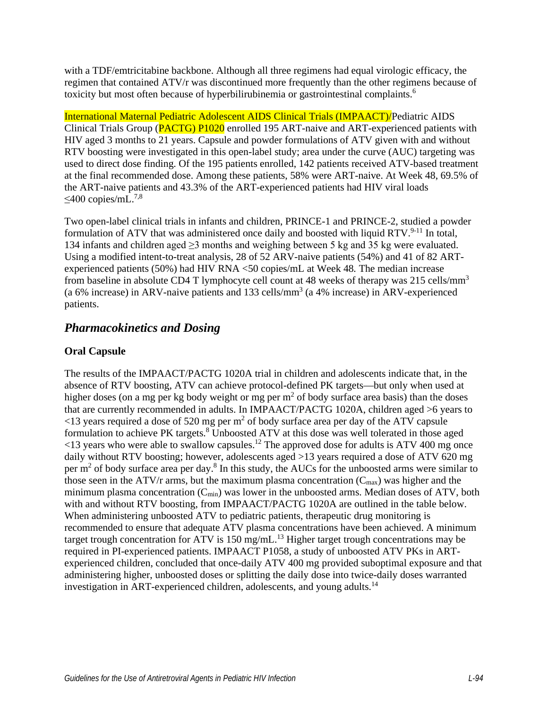with a TDF/emtricitabine backbone. Although all three regimens had equal virologic efficacy, the regimen that contained ATV/r was discontinued more frequently than the other regimens because of toxicity but most often because of hyperbilirubinemia or gastrointestinal complaints.<sup>[6](#page-9-2)</sup>

International Maternal Pediatric Adolescent AIDS Clinical Trials (IMPAACT)/Pediatric AIDS Clinical Trials Group (**PACTG**) P1020 enrolled 195 ART-naive and ART-experienced patients with HIV aged 3 months to 21 years. Capsule and powder formulations of ATV given with and without RTV boosting were investigated in this open-label study; area under the curve (AUC) targeting was used to direct dose finding. Of the 195 patients enrolled, 142 patients received ATV-based treatment at the final recommended dose. Among these patients, 58% were ART-naive. At Week 48, 69.5% of the ART-naive patients and 43.3% of the ART-experienced patients had HIV viral loads  $≤400$  copies/mL.<sup>7,[8](#page-9-4)</sup>

Two open-label clinical trials in infants and children, PRINCE-1 and PRINCE-2, studied a powder formulation of ATV that was administered once daily and boosted with liquid  $RTV^{9-11}$ . In total, 134 infants and children aged ≥3 months and weighing between 5 kg and 35 kg were evaluated. Using a modified intent-to-treat analysis, 28 of 52 ARV-naive patients (54%) and 41 of 82 ARTexperienced patients (50%) had HIV RNA <50 copies/mL at Week 48*.* The median increase from baseline in absolute CD4 T lymphocyte cell count at 48 weeks of therapy was 215 cells/mm<sup>3</sup> (a 6% increase) in ARV-naive patients and 133 cells/mm<sup>3</sup> (a 4% increase) in ARV-experienced patients.

## *Pharmacokinetics and Dosing*

### **Oral Capsule**

The results of the IMPAACT/PACTG 1020A trial in children and adolescents indicate that, in the absence of RTV boosting, ATV can achieve protocol-defined PK targets—but only when used at higher doses (on a mg per kg body weight or mg per  $m<sup>2</sup>$  of body surface area basis) than the doses that are currently recommended in adults. In IMPAACT/PACTG 1020A, children aged >6 years to  $\leq$ 13 years required a dose of 520 mg per m<sup>2</sup> of body surface area per day of the ATV capsule formulation to achieve PK targets.<sup>8</sup> Unboosted ATV at this dose was well tolerated in those aged  $\le$ 13 years who were able to swallow capsules.<sup>12</sup> The approved dose for adults is ATV 400 mg once daily without RTV boosting; however, adolescents aged >13 years required a dose of ATV 620 mg per  $m<sup>2</sup>$  of body surface area per day.<sup>8</sup> In this study, the AUCs for the unboosted arms were similar to those seen in the ATV/r arms, but the maximum plasma concentration  $(C_{\text{max}})$  was higher and the minimum plasma concentration  $(C_{min})$  was lower in the unboosted arms. Median doses of ATV, both with and without RTV boosting, from IMPAACT/PACTG 1020A are outlined in the table below. When administering unboosted ATV to pediatric patients, therapeutic drug monitoring is recommended to ensure that adequate ATV plasma concentrations have been achieved. A minimum target trough concentration for  $ATV$  is 150 mg/mL.<sup>13</sup> Higher target trough concentrations may be required in PI-experienced patients. IMPAACT P1058, a study of unboosted ATV PKs in ARTexperienced children, concluded that once-daily ATV 400 mg provided suboptimal exposure and that administering higher, unboosted doses or splitting the daily dose into twice-daily doses warranted investigation in ART-experienced children, adolescents, and young adults.<sup>[14](#page-10-2)</sup>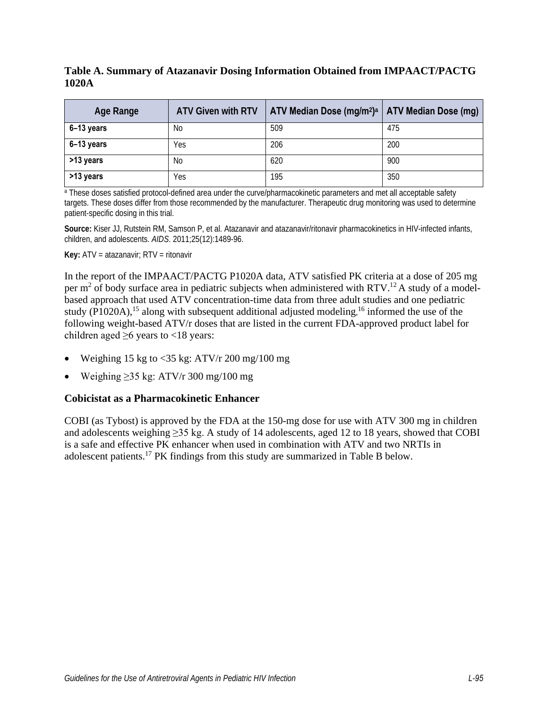### **Table A. Summary of Atazanavir Dosing Information Obtained from IMPAACT/PACTG 1020A**

| Age Range    | <b>ATV Given with RTV</b> | ATV Median Dose $(mg/m^2)^3$   ATV Median Dose $(mg)$ |     |
|--------------|---------------------------|-------------------------------------------------------|-----|
| $6-13$ years | No.                       | 509                                                   | 475 |
| $6-13$ years | Yes                       | 206                                                   | 200 |
| >13 years    | No                        | 620                                                   | 900 |
| >13 years    | Yes                       | 195                                                   | 350 |

a These doses satisfied protocol-defined area under the curve/pharmacokinetic parameters and met all acceptable safety targets. These doses differ from those recommended by the manufacturer. Therapeutic drug monitoring was used to determine patient-specific dosing in this trial.

**Source:** Kiser JJ, Rutstein RM, Samson P, et al. Atazanavir and atazanavir/ritonavir pharmacokinetics in HIV-infected infants, children, and adolescents. *AIDS*. 2011;25(12):1489-96.

**Key:** ATV = atazanavir; RTV = ritonavir

In the report of the IMPAACT/PACTG P1020A data, ATV satisfied PK criteria at a dose of 205 mg per m<sup>2</sup> of body surface area in pediatric subjects when administered with RTV.<sup>12</sup> A study of a modelbased approach that used ATV concentration-time data from three adult studies and one pediatric study (P1020A)[,](#page-10-4)<sup>15</sup> along with subsequent additional adjusted modeling,  $16$  informed the use of the following weight-based ATV/r doses that are listed in the current FDA-approved product label for children aged  $\geq 6$  years to <18 years:

- Weighing 15 kg to  $\langle 35 \text{ kg:} \text{ATV/r } 200 \text{ mg} / 100 \text{ mg}$
- Weighing  $>35$  kg: ATV/r 300 mg/100 mg

### **Cobicistat as a Pharmacokinetic Enhancer**

COBI (as Tybost) is approved by the FDA at the 150-mg dose for use with ATV 300 mg in children and adolescents weighing ≥35 kg. A study of 14 adolescents, aged 12 to 18 years, showed that COBI is a safe and effective PK enhancer when used in combination with ATV and two NRTIs in adolescent patients.[17](#page-10-5) PK findings from this study are summarized in Table B below.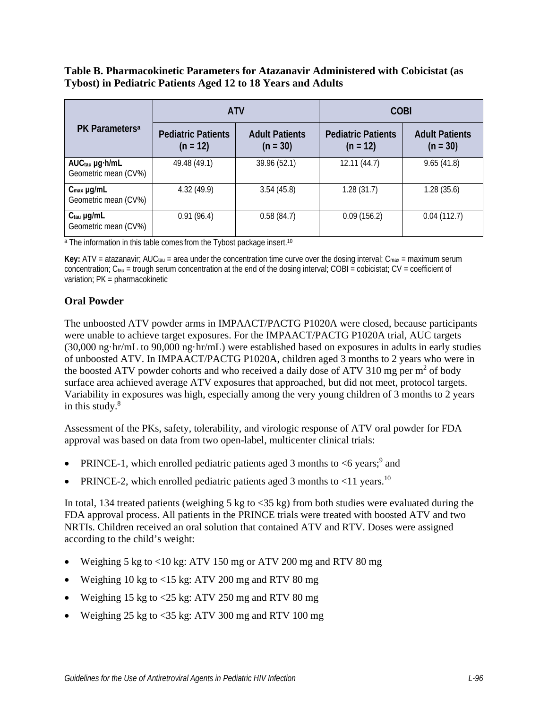### **Table B. Pharmacokinetic Parameters for Atazanavir Administered with Cobicistat (as Tybost) in Pediatric Patients Aged 12 to 18 Years and Adults**

|                                                    |                                         | <b>ATV</b>                          | <b>COBI</b>                             |                                     |  |
|----------------------------------------------------|-----------------------------------------|-------------------------------------|-----------------------------------------|-------------------------------------|--|
| PK Parameters <sup>a</sup>                         | <b>Pediatric Patients</b><br>$(n = 12)$ | <b>Adult Patients</b><br>$(n = 30)$ | <b>Pediatric Patients</b><br>$(n = 12)$ | <b>Adult Patients</b><br>$(n = 30)$ |  |
| AUC <sub>tau</sub> µg·h/mL<br>Geometric mean (CV%) | 49.48 (49.1)                            | 39.96 (52.1)                        | 12.11(44.7)                             | 9.65(41.8)                          |  |
| $C_{\text{max}}$ µg/mL<br>Geometric mean (CV%)     | 4.32(49.9)                              | 3.54(45.8)                          | 1.28(31.7)                              | 1.28(35.6)                          |  |
| $Ctau$ µg/mL<br>Geometric mean (CV%)               | 0.91(96.4)                              | 0.58(84.7)                          | 0.09(156.2)                             | 0.04(112.7)                         |  |

<sup>a</sup> The information in this table comes from the Tybost package insert.<sup>10</sup>

**Key:** ATV = atazanavir; AUC<sub>tau</sub> = area under the concentration time curve over the dosing interval;  $C_{\text{max}}$  = maximum serum concentration;  $C_{\text{tau}}$  = trough serum concentration at the end of the dosing interval; COBI = cobicistat; CV = coefficient of variation; PK = pharmacokinetic

### **Oral Powder**

The unboosted ATV powder arms in IMPAACT/PACTG P1020A were closed, because participants were unable to achieve target exposures. For the IMPAACT/PACTG P1020A trial, AUC targets (30,000 ng·hr/mL to 90,000 ng·hr/mL) were established based on exposures in adults in early studies of unboosted ATV. In IMPAACT/PACTG P1020A, children aged 3 months to 2 years who were in the boosted ATV powder cohorts and who received a daily dose of ATV 310 mg per  $m^2$  of body surface area achieved average ATV exposures that approached, but did not meet, protocol targets. Variability in exposures was high, especially among the very young children of 3 months to 2 years in this study. $8$ 

Assessment of the PKs, safety, tolerability, and virologic response of ATV oral powder for FDA approval was based on data from two open-label, multicenter clinical trials:

- PRINCE-1, which enrolled pediatric patients aged 3 months to  $\leq 6$  years;<sup>[9](#page-9-5)</sup> and
- PRINCE-2, which enrolled pediatric patients aged 3 months to  $\leq 11$  years.<sup>[10](#page-9-6)</sup>

In total, 134 treated patients (weighing 5 kg to  $\langle 35 \text{ kg} \rangle$  from both studies were evaluated during the FDA approval process. All patients in the PRINCE trials were treated with boosted ATV and two NRTIs. Children received an oral solution that contained ATV and RTV. Doses were assigned according to the child's weight:

- Weighing 5 kg to <10 kg: ATV 150 mg or ATV 200 mg and RTV 80 mg
- Weighing 10 kg to <15 kg: ATV 200 mg and RTV 80 mg
- Weighing 15 kg to  $\langle 25 \text{ kg} : \text{ATV } 250 \text{ mg}$  and RTV 80 mg
- Weighing 25 kg to <35 kg: ATV 300 mg and RTV 100 mg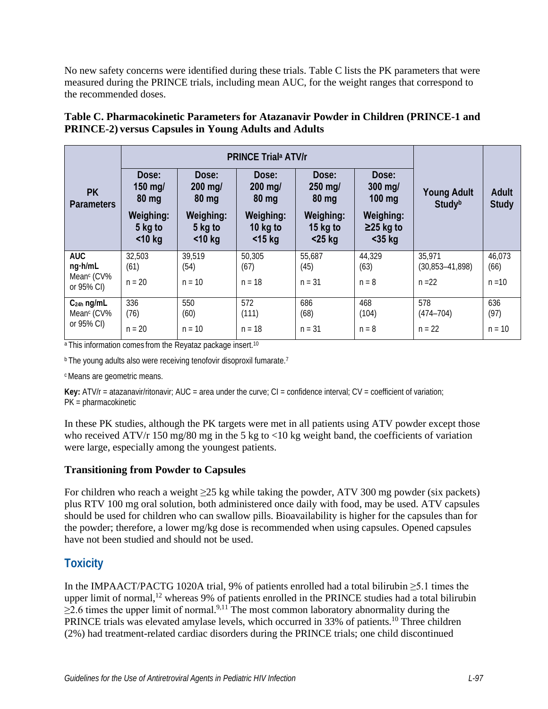No new safety concerns were identified during these trials. Table C lists the PK parameters that were measured during the PRINCE trials, including mean AUC, for the weight ranges that correspond to the recommended doses.

|                                                 | <b>PRINCE Triala ATV/r</b>        |                                          |                                      |                                      |                                         |                                 |                       |
|-------------------------------------------------|-----------------------------------|------------------------------------------|--------------------------------------|--------------------------------------|-----------------------------------------|---------------------------------|-----------------------|
| <b>PK</b><br><b>Parameters</b>                  | Dose:<br>$150$ mg/<br>80 mg       | Dose:<br>$200$ mg/<br>80 mg              | Dose:<br>200 mg/<br>80 mg            | Dose:<br>$250$ mg/<br>$80$ mg        | Dose:<br>300 mg/<br>$100$ mg            | <b>Young Adult</b><br>Studyb    | Adult<br><b>Study</b> |
|                                                 | Weighing:<br>5 kg to<br>$<$ 10 kg | <b>Weighing:</b><br>5 kg to<br>$<$ 10 kg | Weighing:<br>10 $kg$ to<br>$<$ 15 kg | Weighing:<br>15 $kg$ to<br>$<$ 25 kg | Weighing:<br>$\geq$ 25 kg to<br>$35 kg$ |                                 |                       |
| <b>AUC</b><br>ng·h/mL<br>Mean <sup>c</sup> (CV% | 32,503<br>(61)                    | 39,519<br>(54)                           | 50,305<br>(67)                       | 55,687<br>(45)                       | 44,329<br>(63)                          | 35,971<br>$(30, 853 - 41, 898)$ | 46,073<br>(66)        |
| or 95% CI)                                      | $n = 20$                          | $n = 10$                                 | $n = 18$                             | $n = 31$                             | $n = 8$                                 | $n = 22$                        | $n = 10$              |
| $C24h$ ng/mL<br>Mean <sup>c</sup> (CV%          | 336<br>(76)                       | 550<br>(60)                              | 572<br>(111)                         | 686<br>(68)                          | 468<br>(104)                            | 578<br>$(474 - 704)$            | 636<br>(97)           |
| or 95% CI)                                      | $n = 20$                          | $n = 10$                                 | $n = 18$                             | $n = 31$                             | $n = 8$                                 | $n = 22$                        | $n = 10$              |

### **Table C. Pharmacokinetic Parameters for Atazanavir Powder in Children (PRINCE-1 and PRINCE-2) versus Capsules in Young Adults and Adults**

<sup>a</sup> This information comes from the Reyataz package insert.<sup>10</sup>

**b The young adults also were receiving tenofovir disoproxil fumarat[e.](#page-9-3)**<sup>7</sup>

c Means are geometric means.

**Key:** ATV/r = atazanavir/ritonavir; AUC = area under the curve; CI = confidence interval; CV = coefficient of variation; PK = pharmacokinetic

In these PK studies, although the PK targets were met in all patients using ATV powder except those who received ATV/r 150 mg/80 mg in the 5 kg to  $\langle 10 \text{ kg}$  weight band, the coefficients of variation were large, especially among the youngest patients.

### **Transitioning from Powder to Capsules**

For children who reach a weight ≥25 kg while taking the powder, ATV 300 mg powder (six packets) plus RTV 100 mg oral solution, both administered once daily with food, may be used. ATV capsules should be used for children who can swallow pills. Bioavailability is higher for the capsules than for the powder; therefore, a lower mg/kg dose is recommended when using capsules. Opened capsules have not been studied and should not be used.

# **Toxicity**

In the IMPAACT/PACTG 1020A trial, 9% of patients enrolled had a total bilirubin ≥5.1 times the upper limit of normal,<sup>12</sup> whereas 9% of patients enrolled in the PRINCE studies had a total bilirubin  $\geq$ 2.6 times the upper limit of normal.<sup>[9,](#page-9-5)[11](#page-10-6)</sup> The most common laboratory abnormality during the PRINCE trials was elevated amylase levels, which occurred in 33% of patients.<sup>10</sup> Three children (2%) had treatment-related cardiac disorders during the PRINCE trials; one child discontinued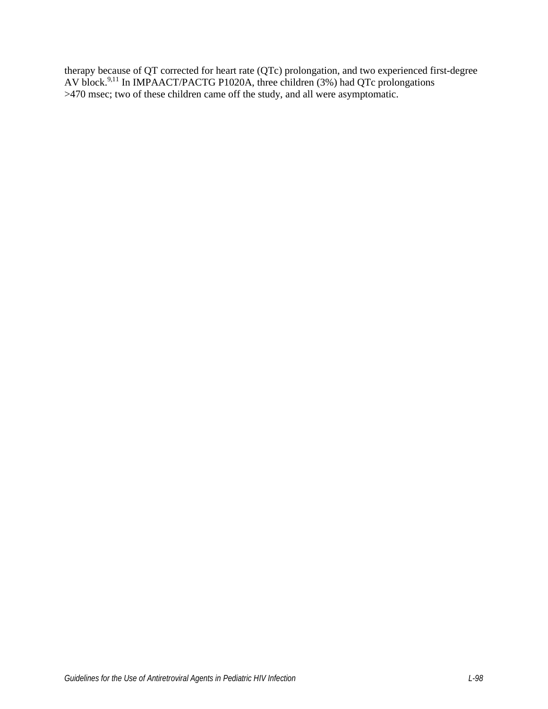therapy because of QT corrected for heart rate (QTc) prolongation, and two experienced first-degree AV block.<sup>[9,](#page-9-5)[11](#page-10-6)</sup> In IMPAACT/PACTG P1020A, three children (3%) had QTc prolongations >470 msec; two of these children came off the study, and all were asymptomatic.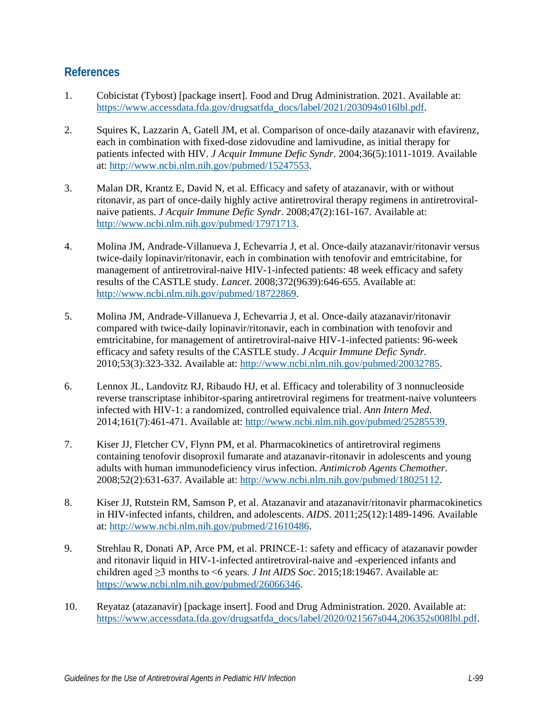### **References**

- <span id="page-9-0"></span>1. Cobicistat (Tybost) [package insert]. Food and Drug Administration. 2021. Available at: [https://www.accessdata.fda.gov/drugsatfda\\_docs/label/2021/203094s016lbl.pdf.](https://www.accessdata.fda.gov/drugsatfda_docs/label/2021/203094s016lbl.pdf)
- <span id="page-9-1"></span>2. Squires K, Lazzarin A, Gatell JM, et al. Comparison of once-daily atazanavir with efavirenz, each in combination with fixed-dose zidovudine and lamivudine, as initial therapy for patients infected with HIV. *J Acquir Immune Defic Syndr*. 2004;36(5):1011-1019. Available at: [http://www.ncbi.nlm.nih.gov/pubmed/15247553.](http://www.ncbi.nlm.nih.gov/pubmed/15247553)
- 3. Malan DR, Krantz E, David N, et al. Efficacy and safety of atazanavir, with or without ritonavir, as part of once-daily highly active antiretroviral therapy regimens in antiretroviralnaive patients. *J Acquir Immune Defic Syndr*. 2008;47(2):161-167. Available at: [http://www.ncbi.nlm.nih.gov/pubmed/17971713.](http://www.ncbi.nlm.nih.gov/pubmed/17971713)
- 4. Molina JM, Andrade-Villanueva J, Echevarria J, et al. Once-daily atazanavir/ritonavir versus twice-daily lopinavir/ritonavir, each in combination with tenofovir and emtricitabine, for management of antiretroviral-naive HIV-1-infected patients: 48 week efficacy and safety results of the CASTLE study. *Lancet*. 2008;372(9639):646-655. Available at: [http://www.ncbi.nlm.nih.gov/pubmed/18722869.](http://www.ncbi.nlm.nih.gov/pubmed/18722869)
- 5. Molina JM, Andrade-Villanueva J, Echevarria J, et al. Once-daily atazanavir/ritonavir compared with twice-daily lopinavir/ritonavir, each in combination with tenofovir and emtricitabine, for management of antiretroviral-naive HIV-1-infected patients: 96-week efficacy and safety results of the CASTLE study. *J Acquir Immune Defic Syndr*. 2010;53(3):323-332. Available at: [http://www.ncbi.nlm.nih.gov/pubmed/20032785.](http://www.ncbi.nlm.nih.gov/pubmed/20032785)
- <span id="page-9-2"></span>6. Lennox JL, Landovitz RJ, Ribaudo HJ, et al. Efficacy and tolerability of 3 nonnucleoside reverse transcriptase inhibitor-sparing antiretroviral regimens for treatment-naive volunteers infected with HIV-1: a randomized, controlled equivalence trial. *Ann Intern Med*. 2014;161(7):461-471. Available at: [http://www.ncbi.nlm.nih.gov/pubmed/25285539.](http://www.ncbi.nlm.nih.gov/pubmed/25285539)
- <span id="page-9-3"></span>7. Kiser JJ, Fletcher CV, Flynn PM, et al. Pharmacokinetics of antiretroviral regimens containing tenofovir disoproxil fumarate and atazanavir-ritonavir in adolescents and young adults with human immunodeficiency virus infection. *Antimicrob Agents Chemother*. 2008;52(2):631-637. Available at: [http://www.ncbi.nlm.nih.gov/pubmed/18025112.](http://www.ncbi.nlm.nih.gov/pubmed/18025112)
- <span id="page-9-4"></span>8. Kiser JJ, Rutstein RM, Samson P, et al. Atazanavir and atazanavir/ritonavir pharmacokinetics in HIV-infected infants, children, and adolescents. *AIDS*. 2011;25(12):1489-1496. Available at: [http://www.ncbi.nlm.nih.gov/pubmed/21610486.](http://www.ncbi.nlm.nih.gov/pubmed/21610486)
- <span id="page-9-5"></span>9. Strehlau R, Donati AP, Arce PM, et al. PRINCE-1: safety and efficacy of atazanavir powder and ritonavir liquid in HIV-1-infected antiretroviral-naive and -experienced infants and children aged ≥3 months to <6 years. *J Int AIDS Soc*. 2015;18:19467. Available at: [https://www.ncbi.nlm.nih.gov/pubmed/26066346.](https://www.ncbi.nlm.nih.gov/pubmed/26066346)
- <span id="page-9-6"></span>10. Reyataz (atazanavir) [package insert]. Food and Drug Administration. 2020. Available at: [https://www.accessdata.fda.gov/drugsatfda\\_docs/label/2020/021567s044,206352s008lbl.pdf.](https://www.accessdata.fda.gov/drugsatfda_docs/label/2020/021567s044,206352s008lbl.pdf)